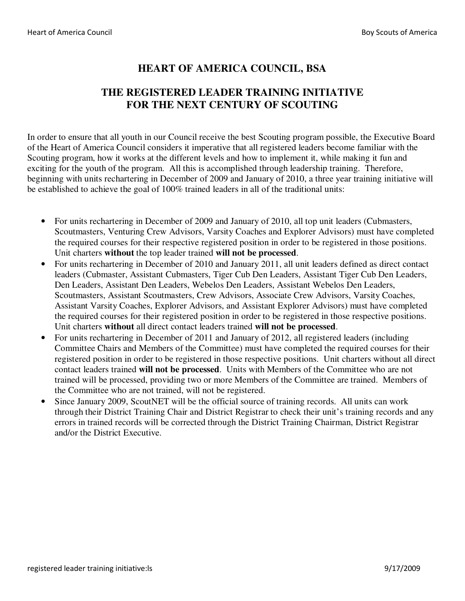## **HEART OF AMERICA COUNCIL, BSA**

## **THE REGISTERED LEADER TRAINING INITIATIVE FOR THE NEXT CENTURY OF SCOUTING**

In order to ensure that all youth in our Council receive the best Scouting program possible, the Executive Board of the Heart of America Council considers it imperative that all registered leaders become familiar with the Scouting program, how it works at the different levels and how to implement it, while making it fun and exciting for the youth of the program. All this is accomplished through leadership training. Therefore, beginning with units rechartering in December of 2009 and January of 2010, a three year training initiative will be established to achieve the goal of 100% trained leaders in all of the traditional units:

- For units rechartering in December of 2009 and January of 2010, all top unit leaders (Cubmasters, Scoutmasters, Venturing Crew Advisors, Varsity Coaches and Explorer Advisors) must have completed the required courses for their respective registered position in order to be registered in those positions. Unit charters **without** the top leader trained **will not be processed**.
- For units rechartering in December of 2010 and January 2011, all unit leaders defined as direct contact leaders (Cubmaster, Assistant Cubmasters, Tiger Cub Den Leaders, Assistant Tiger Cub Den Leaders, Den Leaders, Assistant Den Leaders, Webelos Den Leaders, Assistant Webelos Den Leaders, Scoutmasters, Assistant Scoutmasters, Crew Advisors, Associate Crew Advisors, Varsity Coaches, Assistant Varsity Coaches, Explorer Advisors, and Assistant Explorer Advisors) must have completed the required courses for their registered position in order to be registered in those respective positions. Unit charters **without** all direct contact leaders trained **will not be processed**.
- For units rechartering in December of 2011 and January of 2012, all registered leaders (including Committee Chairs and Members of the Committee) must have completed the required courses for their registered position in order to be registered in those respective positions. Unit charters without all direct contact leaders trained **will not be processed**. Units with Members of the Committee who are not trained will be processed, providing two or more Members of the Committee are trained. Members of the Committee who are not trained, will not be registered.
- Since January 2009, ScoutNET will be the official source of training records. All units can work through their District Training Chair and District Registrar to check their unit's training records and any errors in trained records will be corrected through the District Training Chairman, District Registrar and/or the District Executive.